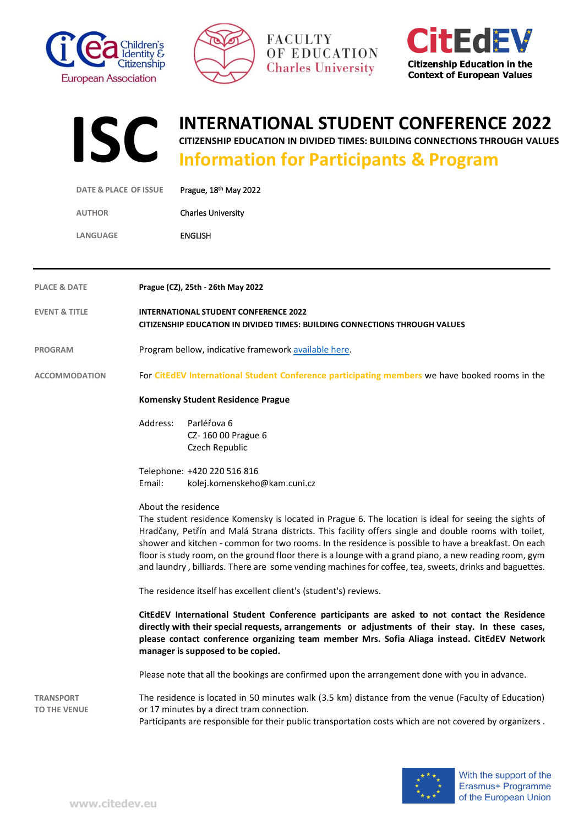







## **INTERNATIONAL STUDENT CONFERENCE 2022**

**CITIZENSHIP EDUCATION IN DIVIDED TIMES: BUILDING CONNECTIONS THROUGH VALUES**

## **Information for Participants & Program**

|                                         | <b>DATE &amp; PLACE OF ISSUE</b> | Prague, 18th May 2022                                                                                                                                                                                                                                                                                                                                                                                                                                                                                                                                             |  |  |
|-----------------------------------------|----------------------------------|-------------------------------------------------------------------------------------------------------------------------------------------------------------------------------------------------------------------------------------------------------------------------------------------------------------------------------------------------------------------------------------------------------------------------------------------------------------------------------------------------------------------------------------------------------------------|--|--|
| <b>AUTHOR</b>                           |                                  | <b>Charles University</b>                                                                                                                                                                                                                                                                                                                                                                                                                                                                                                                                         |  |  |
| <b>LANGUAGE</b>                         |                                  | <b>ENGLISH</b>                                                                                                                                                                                                                                                                                                                                                                                                                                                                                                                                                    |  |  |
|                                         |                                  |                                                                                                                                                                                                                                                                                                                                                                                                                                                                                                                                                                   |  |  |
| <b>PLACE &amp; DATE</b>                 |                                  | Prague (CZ), 25th - 26th May 2022                                                                                                                                                                                                                                                                                                                                                                                                                                                                                                                                 |  |  |
| <b>EVENT &amp; TITLE</b>                |                                  | <b>INTERNATIONAL STUDENT CONFERENCE 2022</b><br>CITIZENSHIP EDUCATION IN DIVIDED TIMES: BUILDING CONNECTIONS THROUGH VALUES                                                                                                                                                                                                                                                                                                                                                                                                                                       |  |  |
| <b>PROGRAM</b>                          |                                  | Program bellow, indicative framework available here.                                                                                                                                                                                                                                                                                                                                                                                                                                                                                                              |  |  |
| <b>ACCOMMODATION</b>                    |                                  | For CitEdEV International Student Conference participating members we have booked rooms in the                                                                                                                                                                                                                                                                                                                                                                                                                                                                    |  |  |
|                                         |                                  | Komensky Student Residence Prague                                                                                                                                                                                                                                                                                                                                                                                                                                                                                                                                 |  |  |
|                                         | Address:                         | Parléřova 6<br>CZ-16000 Prague 6<br>Czech Republic                                                                                                                                                                                                                                                                                                                                                                                                                                                                                                                |  |  |
|                                         | Email:                           | Telephone: +420 220 516 816<br>kolej.komenskeho@kam.cuni.cz                                                                                                                                                                                                                                                                                                                                                                                                                                                                                                       |  |  |
|                                         |                                  | About the residence<br>The student residence Komensky is located in Prague 6. The location is ideal for seeing the sights of<br>Hradčany, Petřín and Malá Strana districts. This facility offers single and double rooms with toilet,<br>shower and kitchen - common for two rooms. In the residence is possible to have a breakfast. On each<br>floor is study room, on the ground floor there is a lounge with a grand piano, a new reading room, gym<br>and laundry, billiards. There are some vending machines for coffee, tea, sweets, drinks and baguettes. |  |  |
|                                         |                                  | The residence itself has excellent client's (student's) reviews.                                                                                                                                                                                                                                                                                                                                                                                                                                                                                                  |  |  |
|                                         |                                  | CitEdEV International Student Conference participants are asked to not contact the Residence<br>directly with their special requests, arrangements or adjustments of their stay. In these cases,<br>please contact conference organizing team member Mrs. Sofia Aliaga instead. CitEdEV Network<br>manager is supposed to be copied.                                                                                                                                                                                                                              |  |  |
|                                         |                                  | Please note that all the bookings are confirmed upon the arrangement done with you in advance.                                                                                                                                                                                                                                                                                                                                                                                                                                                                    |  |  |
| <b>TRANSPORT</b><br><b>TO THE VENUE</b> |                                  | The residence is located in 50 minutes walk (3.5 km) distance from the venue (Faculty of Education)<br>or 17 minutes by a direct tram connection.<br>Participants are responsible for their public transportation costs which are not covered by organizers.                                                                                                                                                                                                                                                                                                      |  |  |

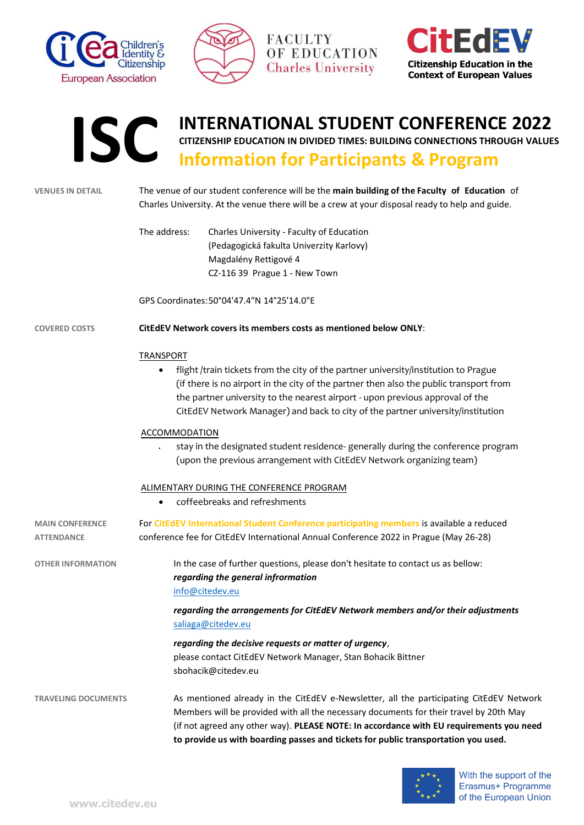







**INTERNATIONAL STUDENT CONFERENCE 2022**

*regarding the general infrormation* [info@citedev.eu](mailto:info@citedev.eu?subject=CitEdEV%20IC%202022:%20General%20information%20-%20question)

> *regarding the arrangements for CitEdEV Network members and/or their adjustments* [saliaga@citedev.eu](mailto:saliaga@citedev.eu?subject=CitEdEV%20IC%202022:%20Arrangements%20-%20question)

*regarding the decisive requests or matter of urgency*, please contact CitEdEV Network Manager, Stan Bohacik Bittner sbohacik@citedev.eu

**TRAVELING DOCUMENTS** As mentioned already in the CitEdEV e-Newsletter, all the participating CitEdEV Network Members will be provided with all the necessary documents for their travel by 20th May (if not agreed any other way). **PLEASE NOTE: In accordance with EU requirements you need to provide us with boarding passes and tickets for public transportation you used.**

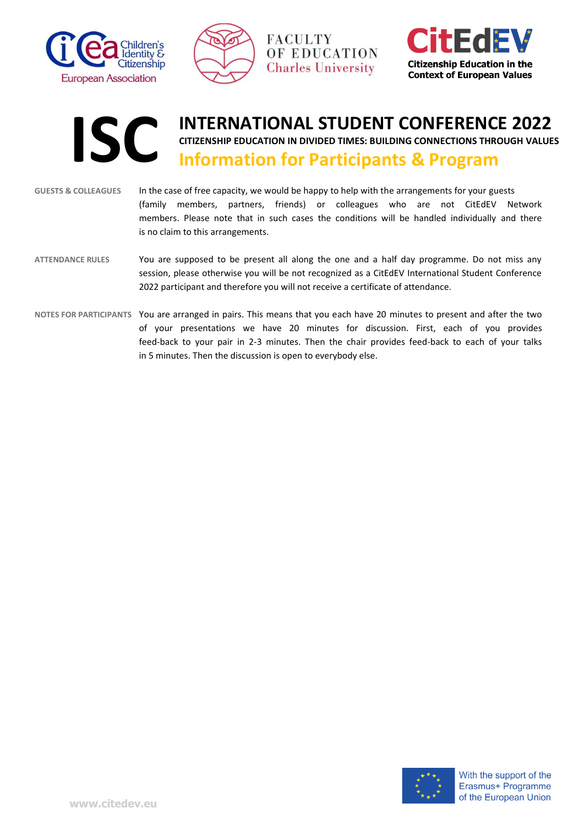



**Citizenship Education in the Context of European Values** 



- **GUESTS & COLLEAGUES** In the case of free capacity, we would be happy to help with the arrangements for your guests (family members, partners, friends) or colleagues who are not CitEdEV Network members. Please note that in such cases the conditions will be handled individually and there is no claim to this arrangements.
- **ATTENDANCE RULES** You are supposed to be present all along the one and a half day programme. Do not miss any session, please otherwise you will be not recognized as a CitEdEV International Student Conference 2022 participant and therefore you will not receive a certificate of attendance.
- **NOTES FOR PARTICIPANTS** You are arranged in pairs. This means that you each have 20 minutes to present and after the two of your presentations we have 20 minutes for discussion. First, each of you provides feed-back to your pair in 2-3 minutes. Then the chair provides feed-back to each of your talks in 5 minutes. Then the discussion is open to everybody else.